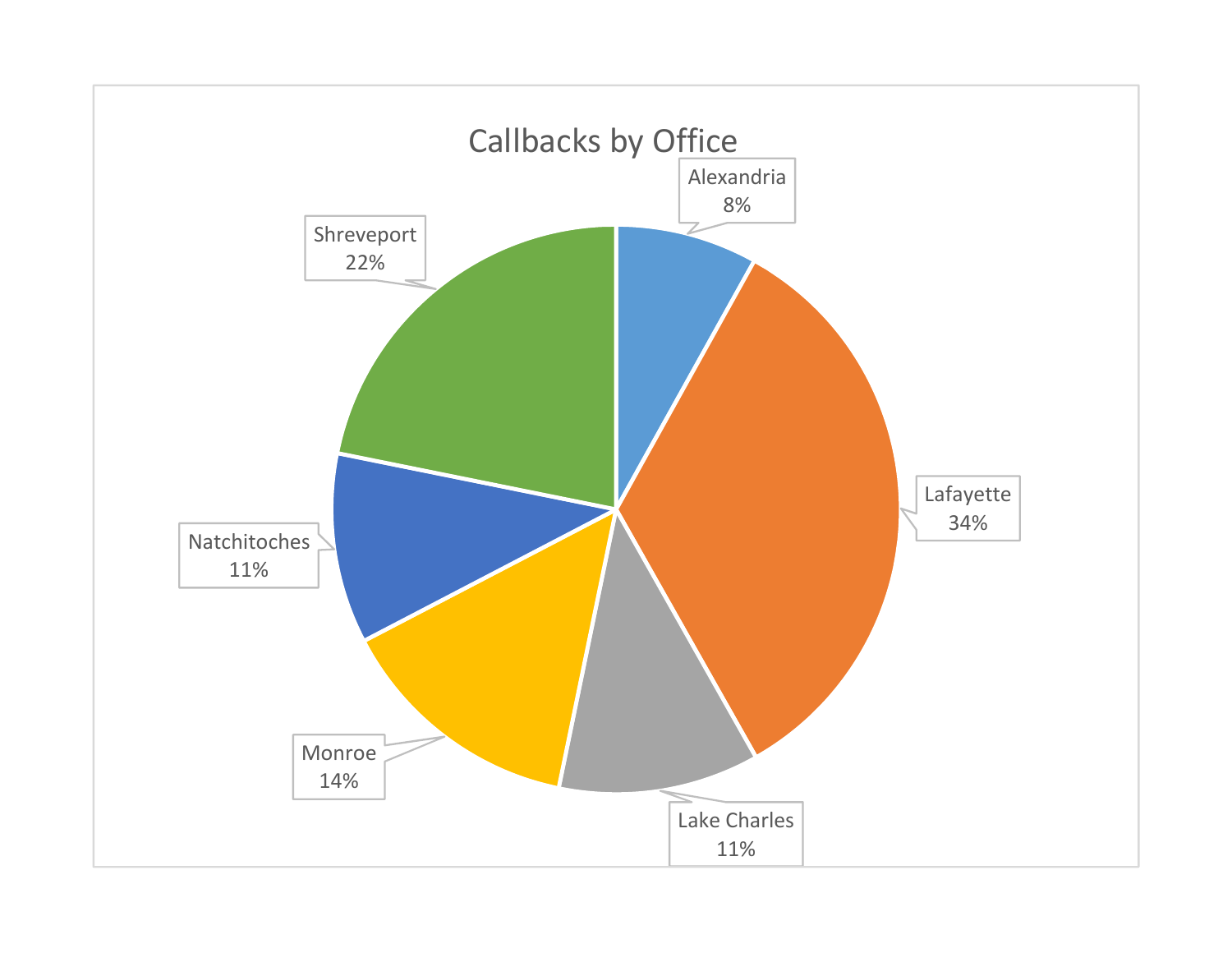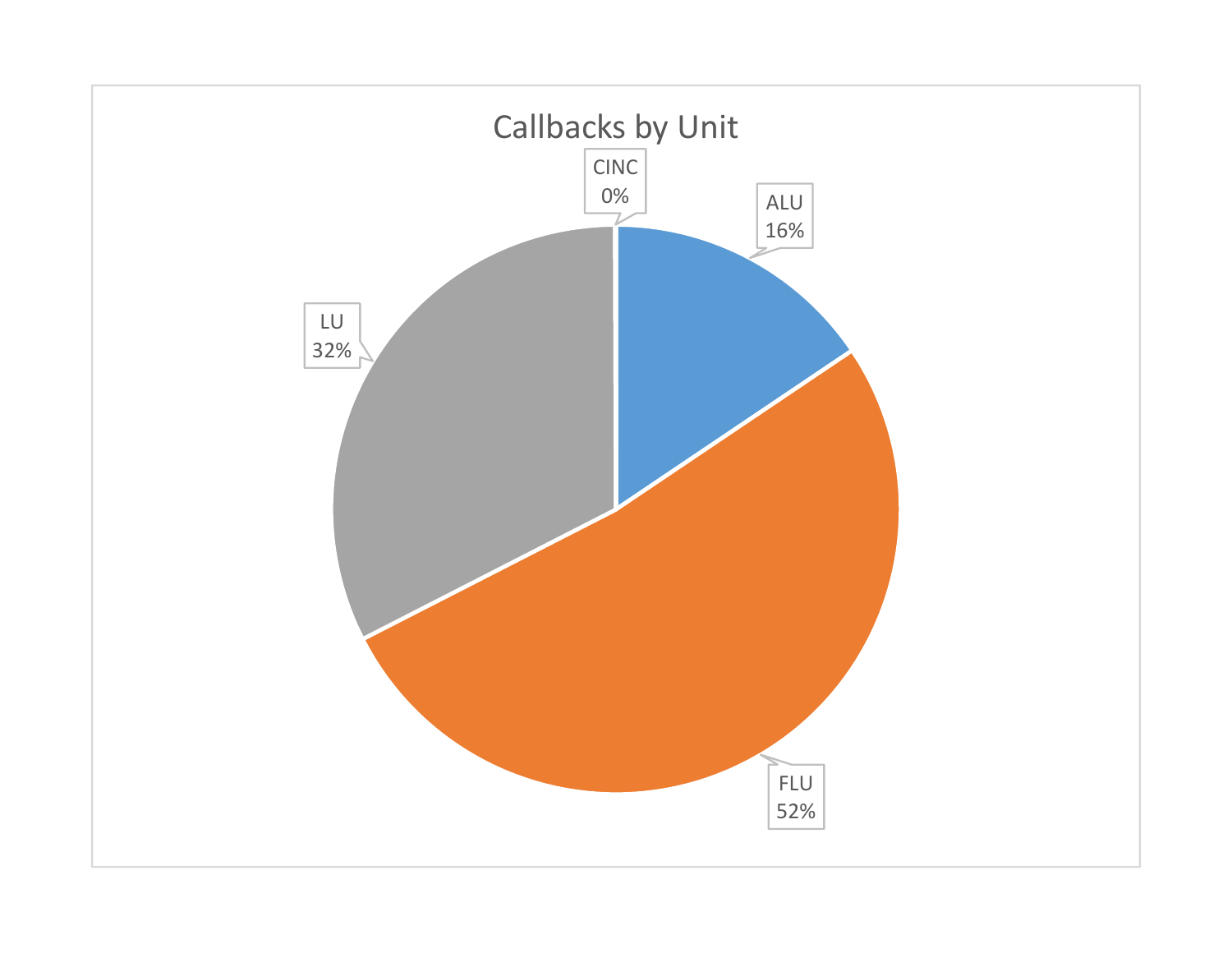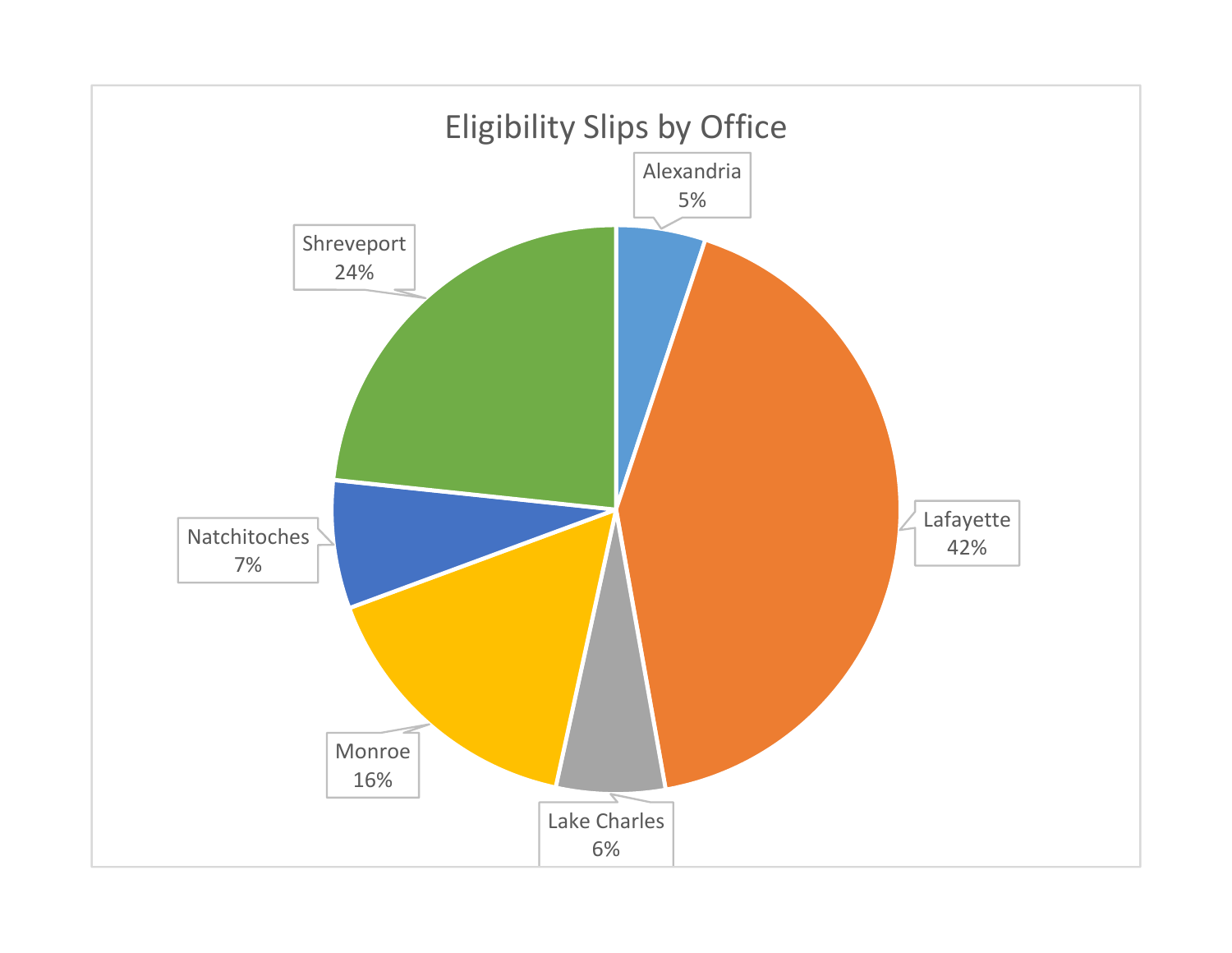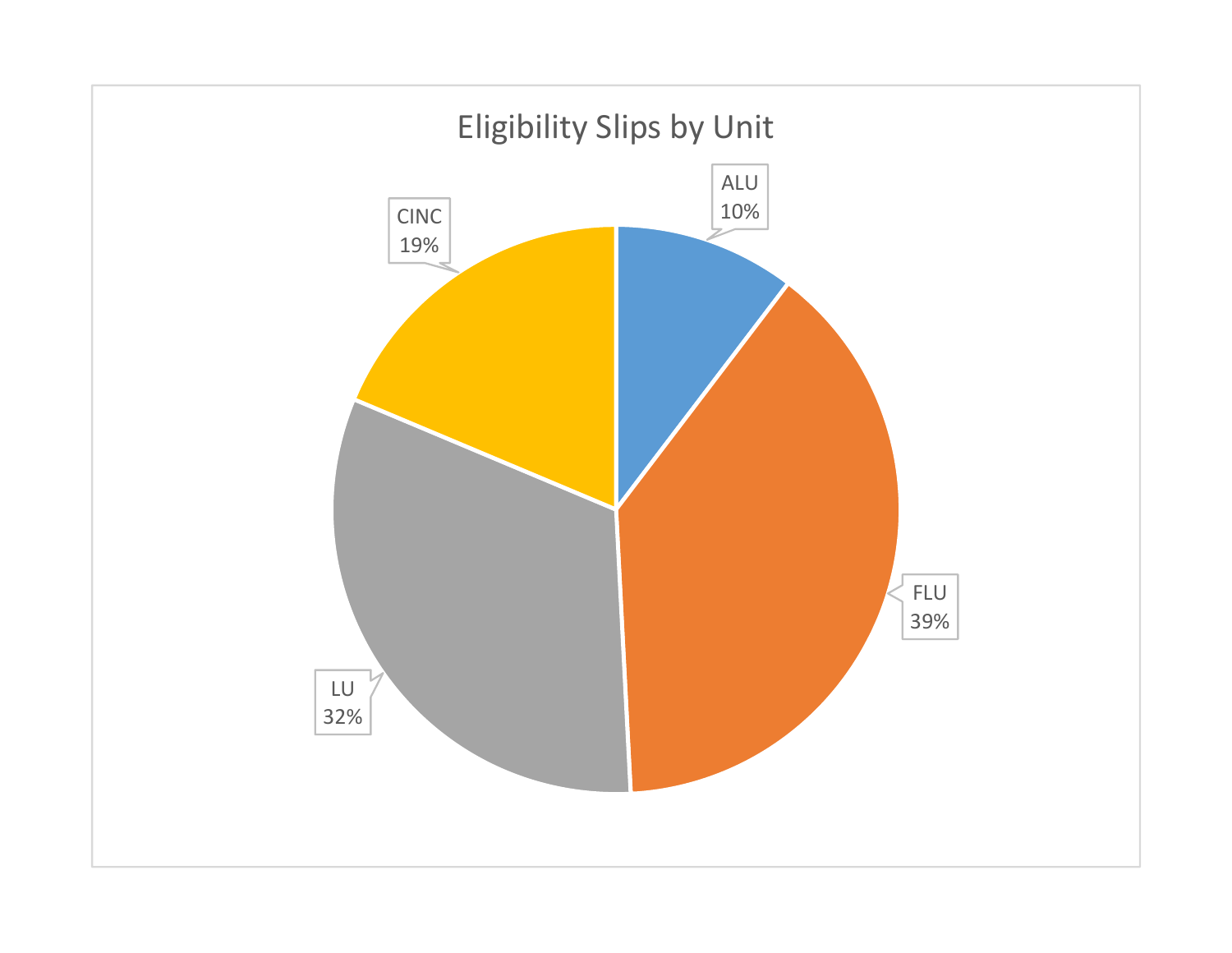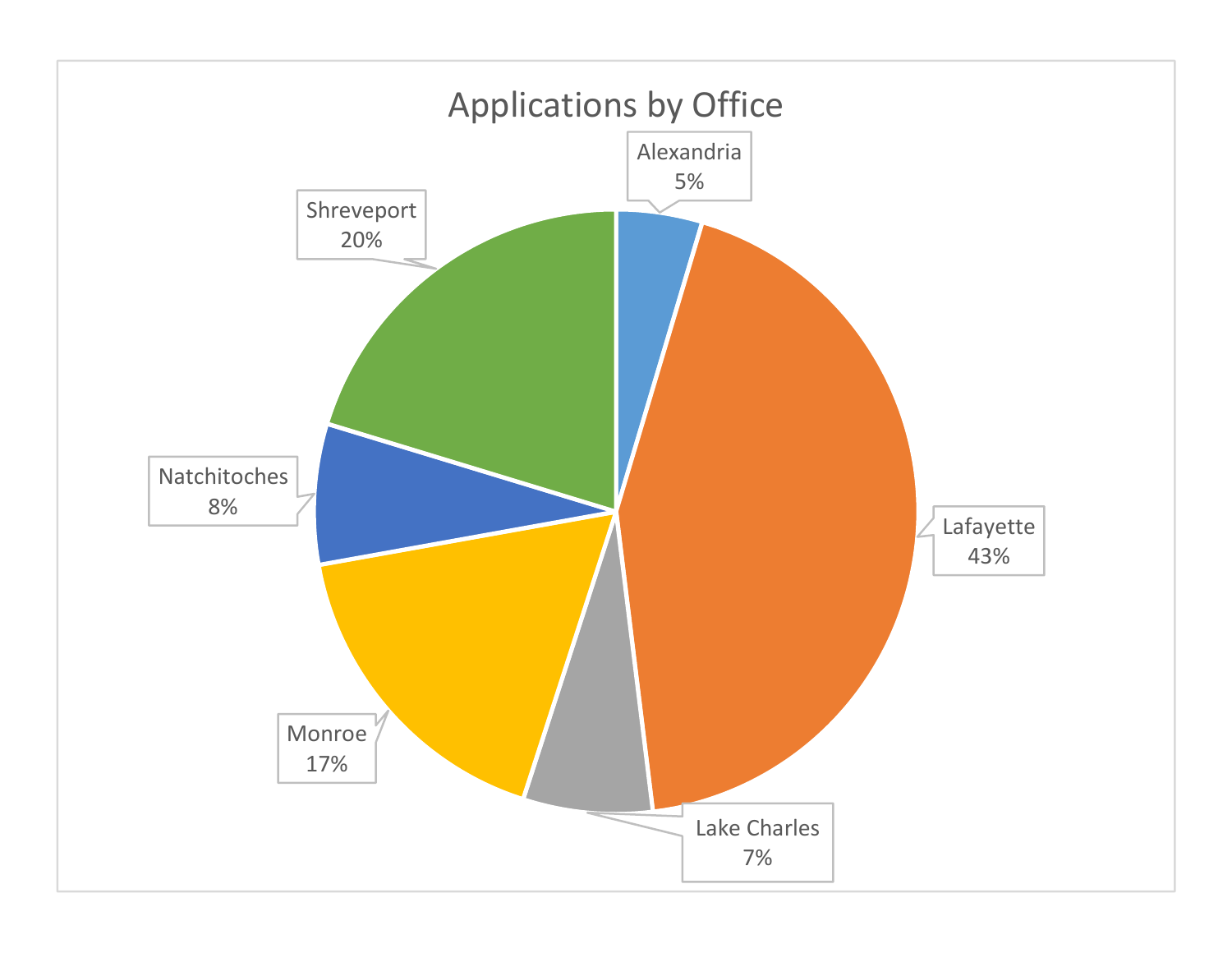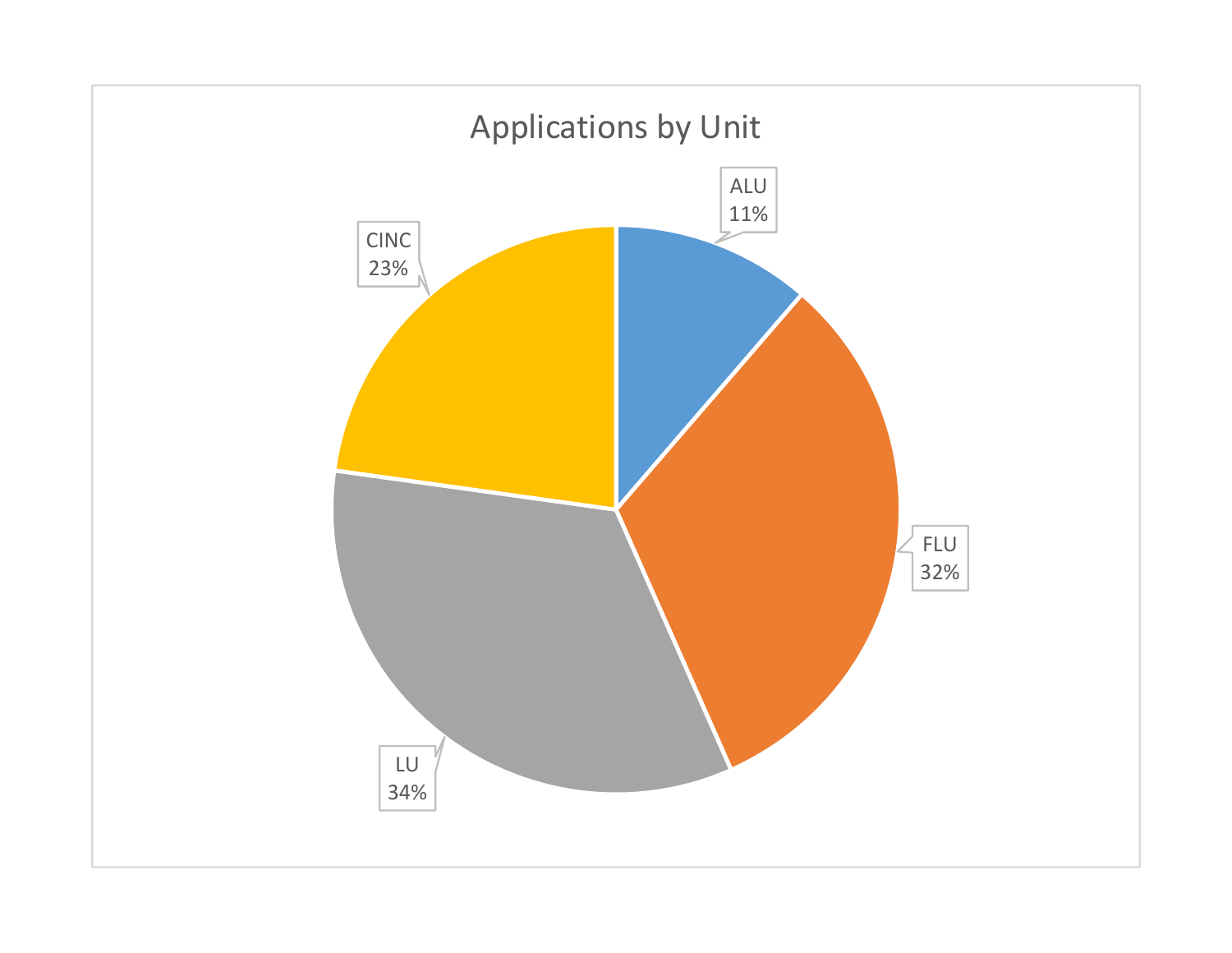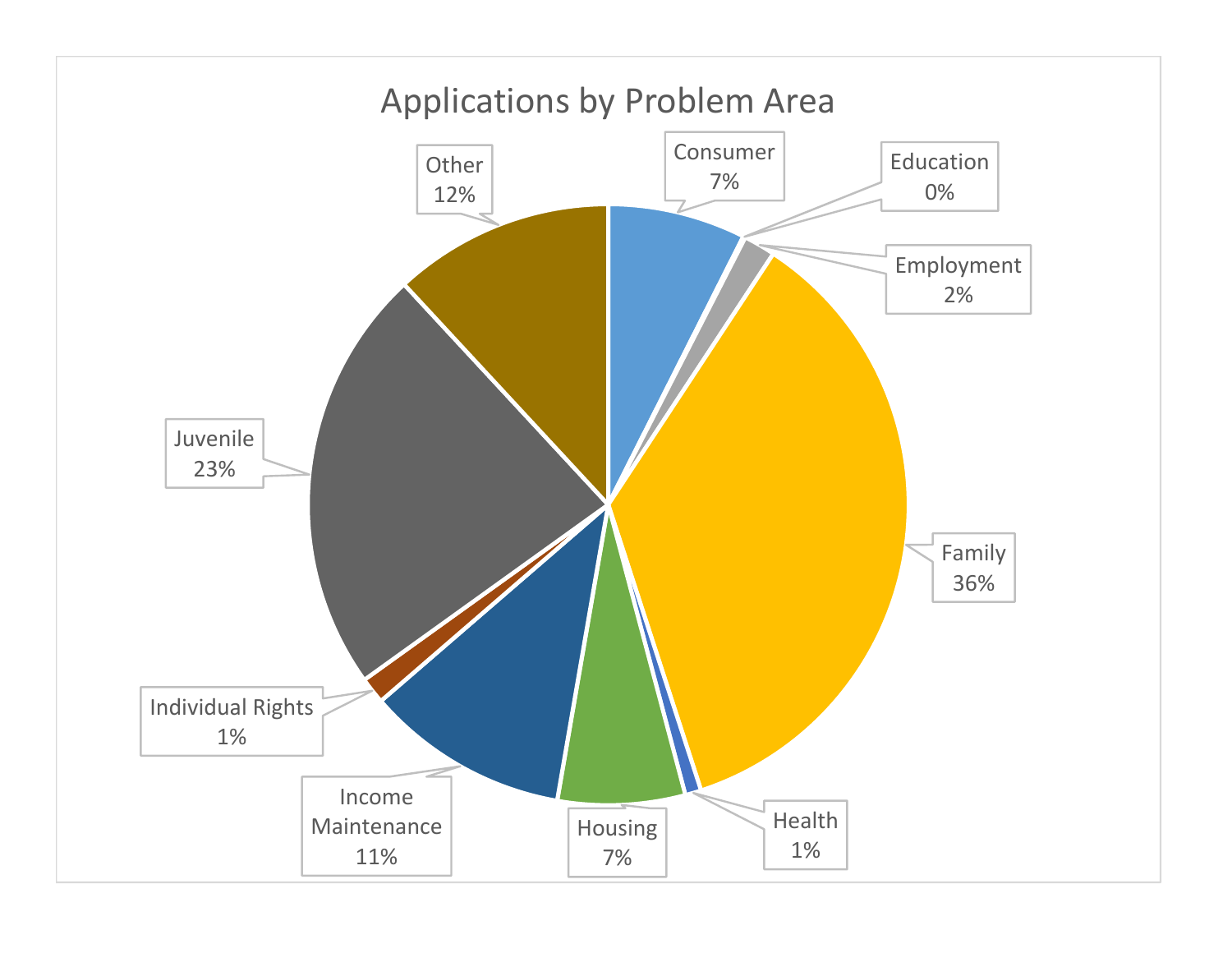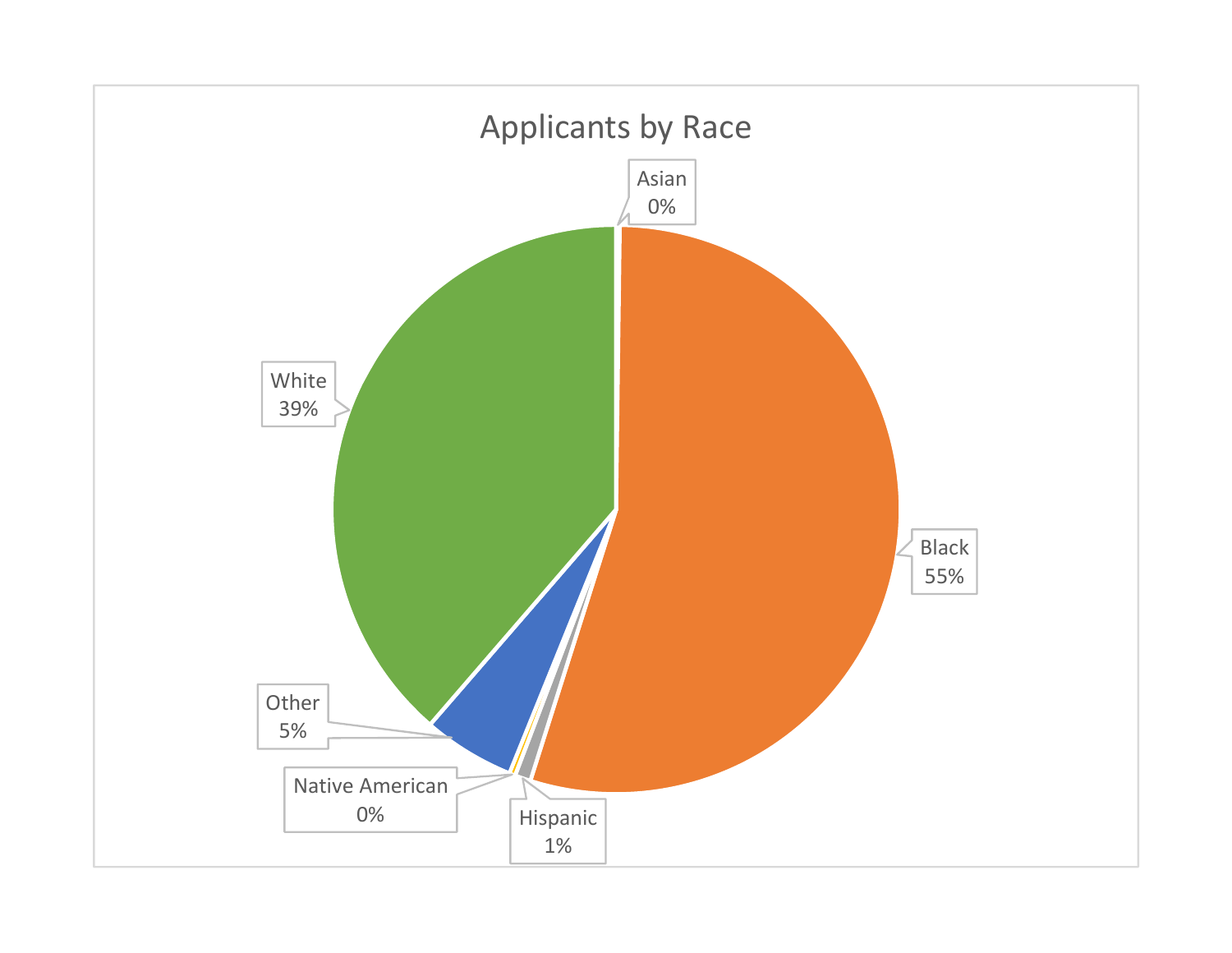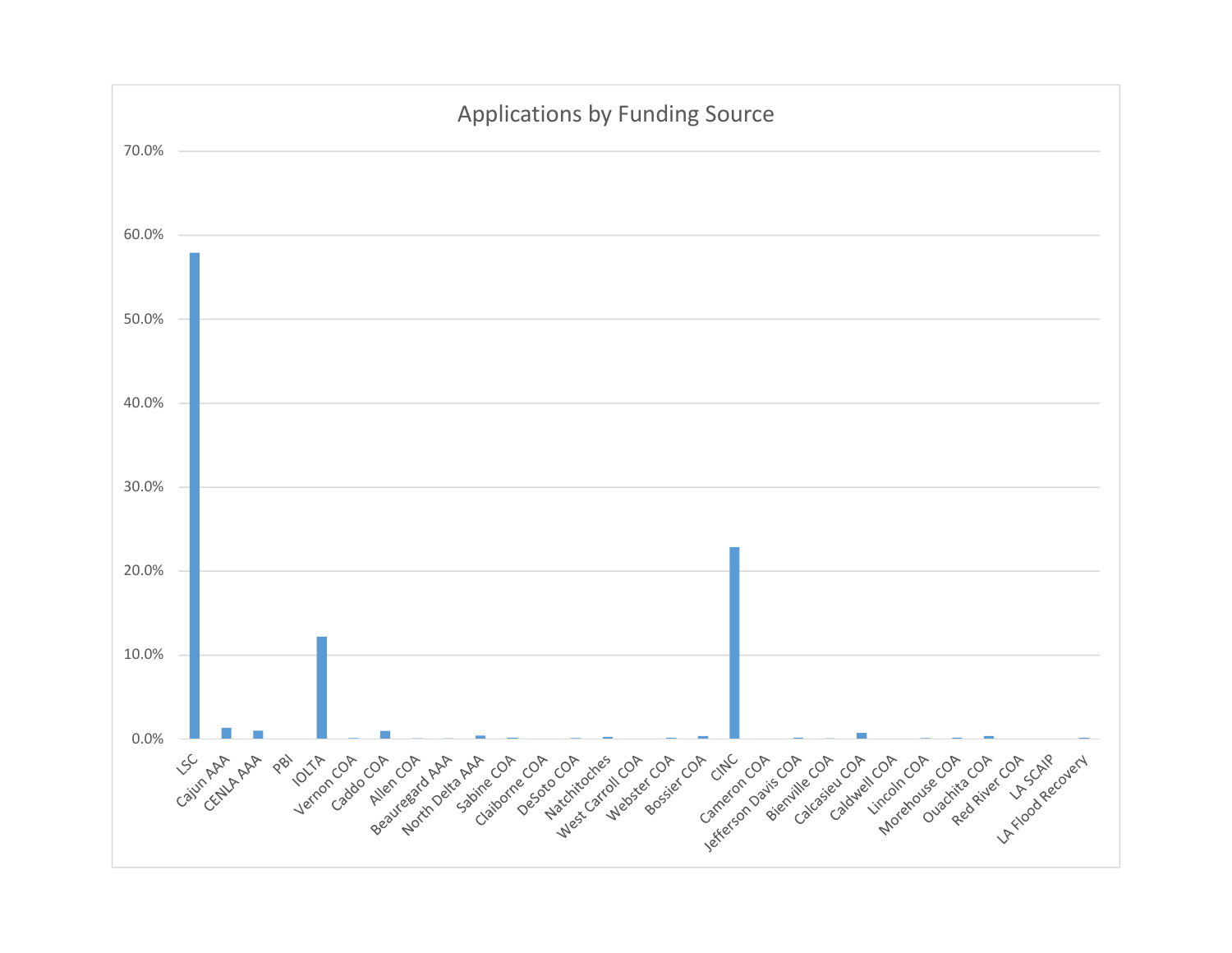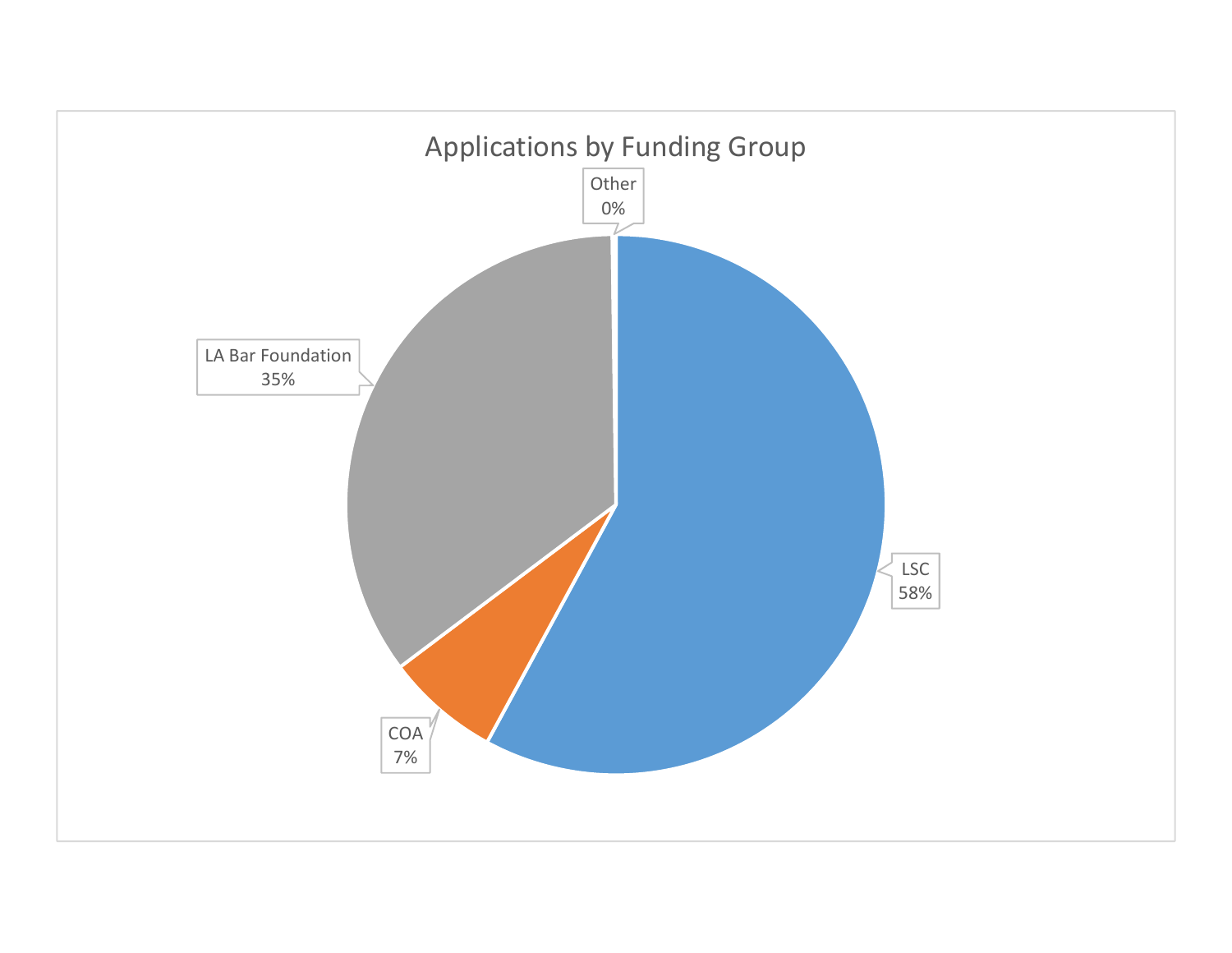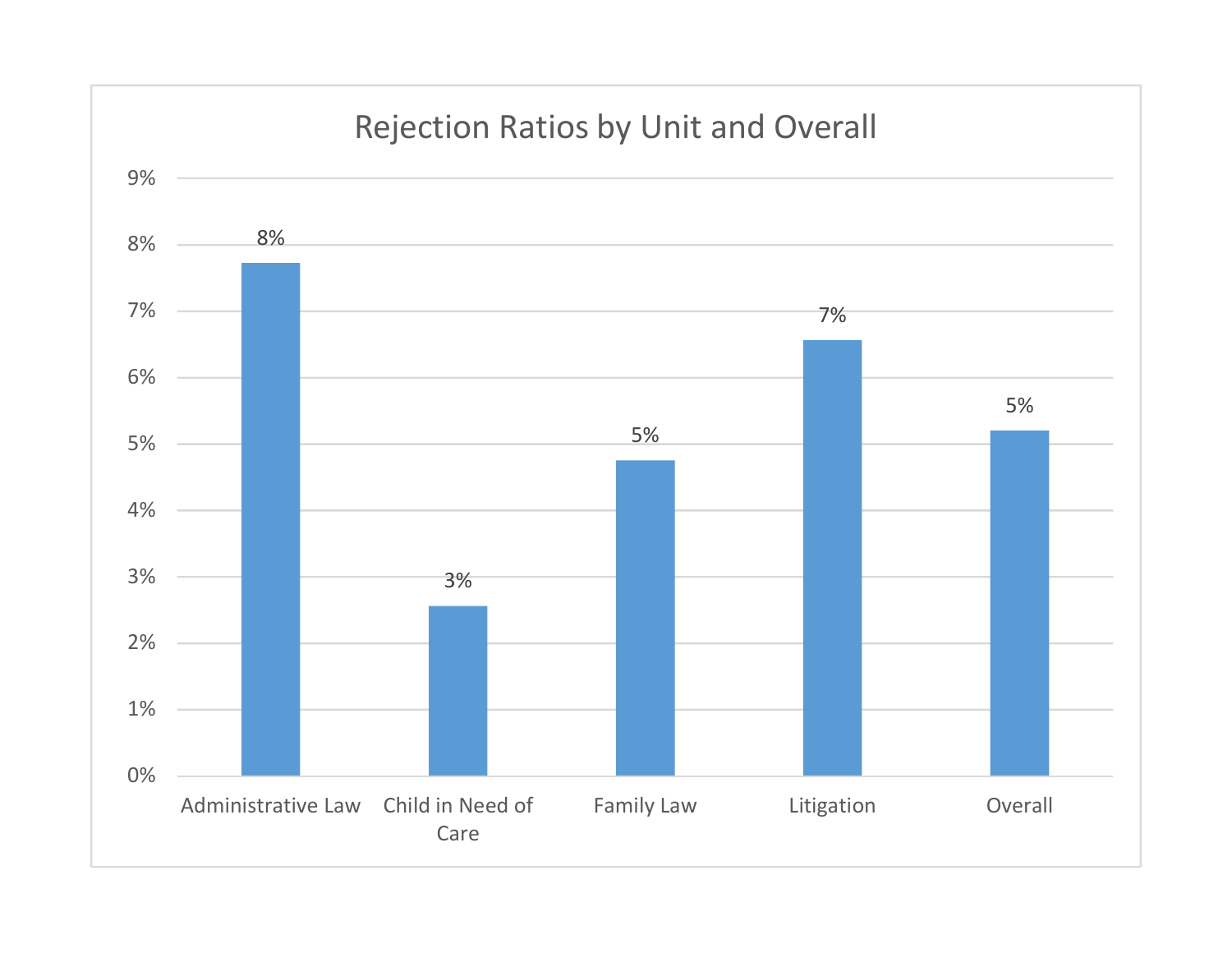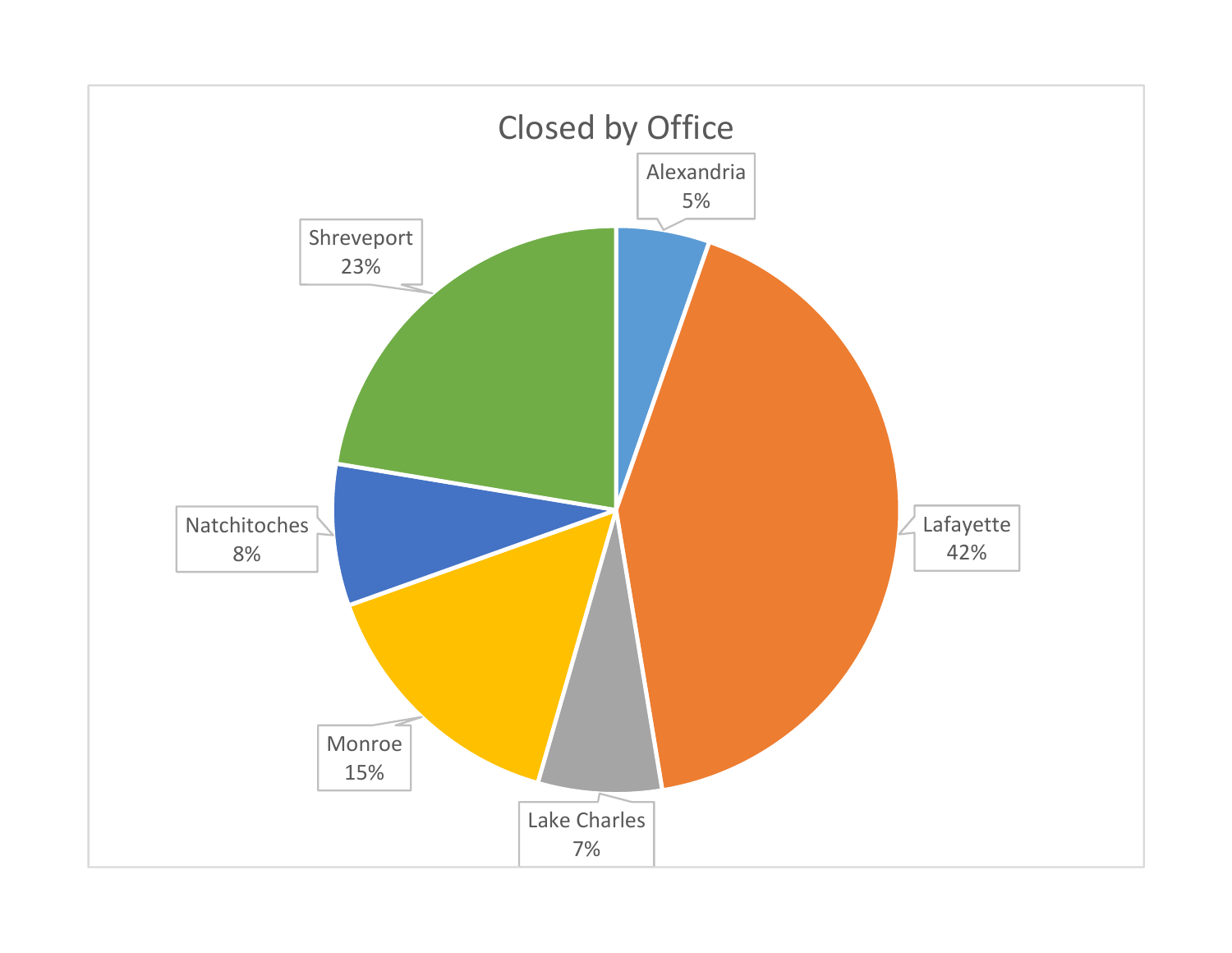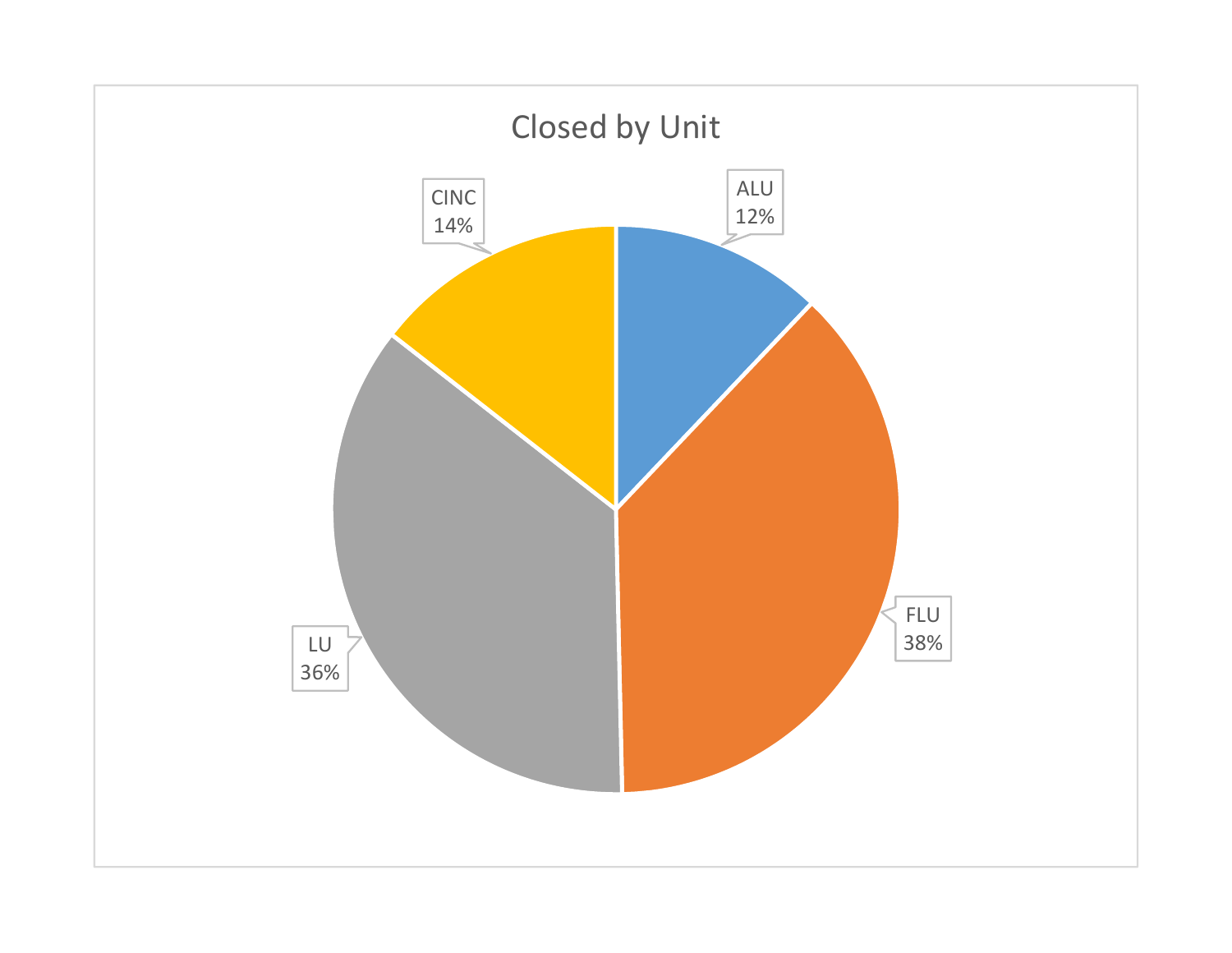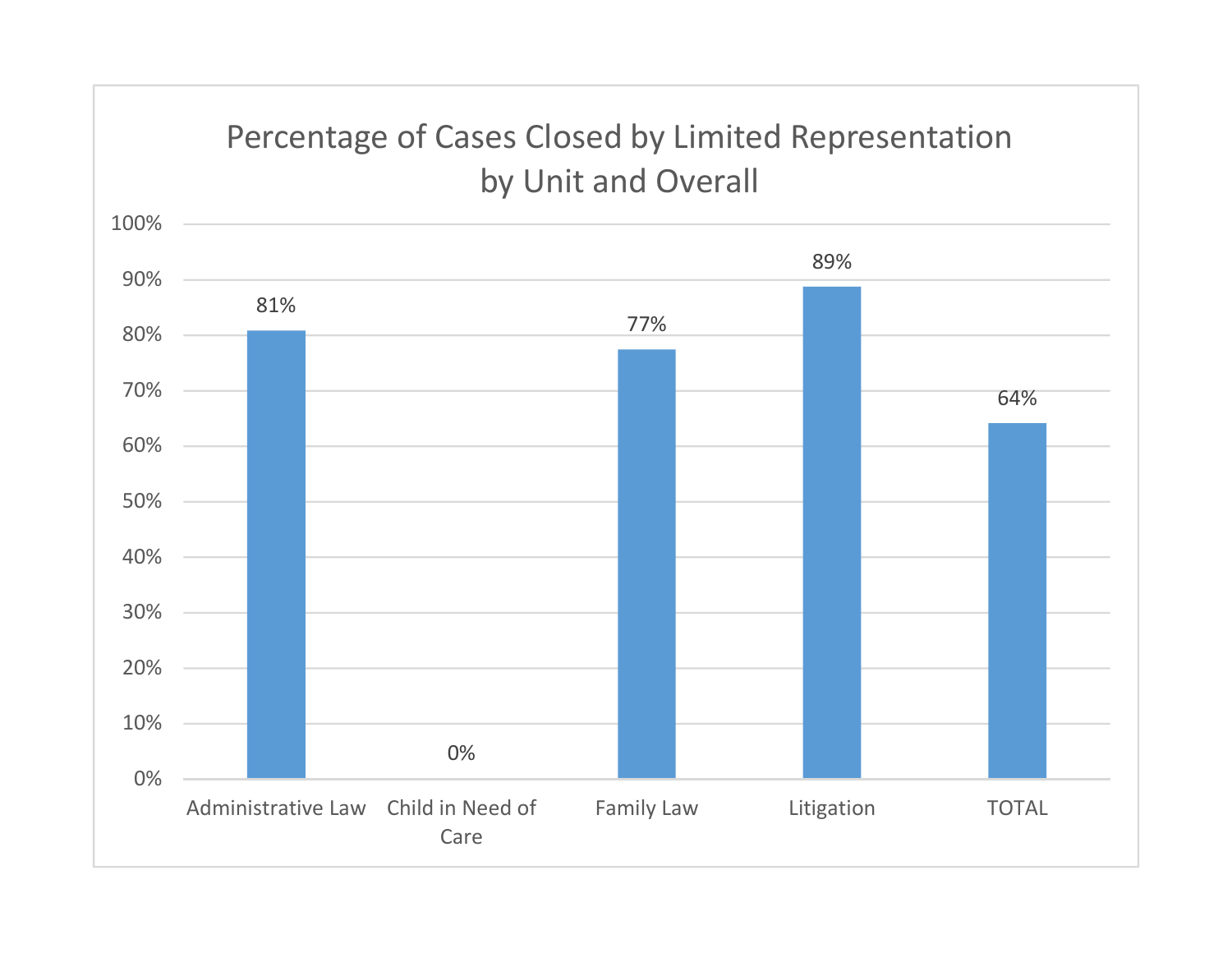## Percentage of Cases Closed by Limited Representation by Unit and Overall

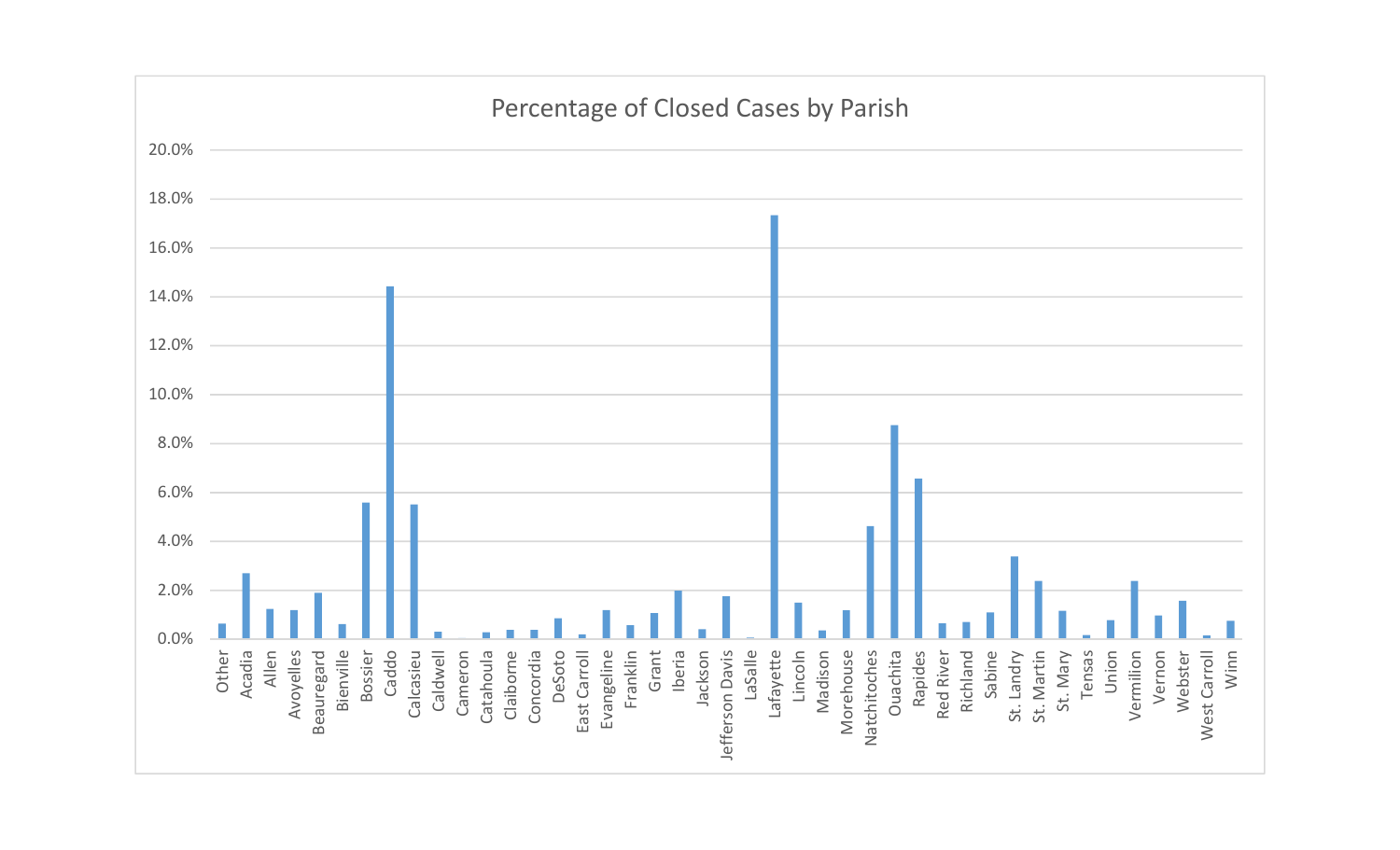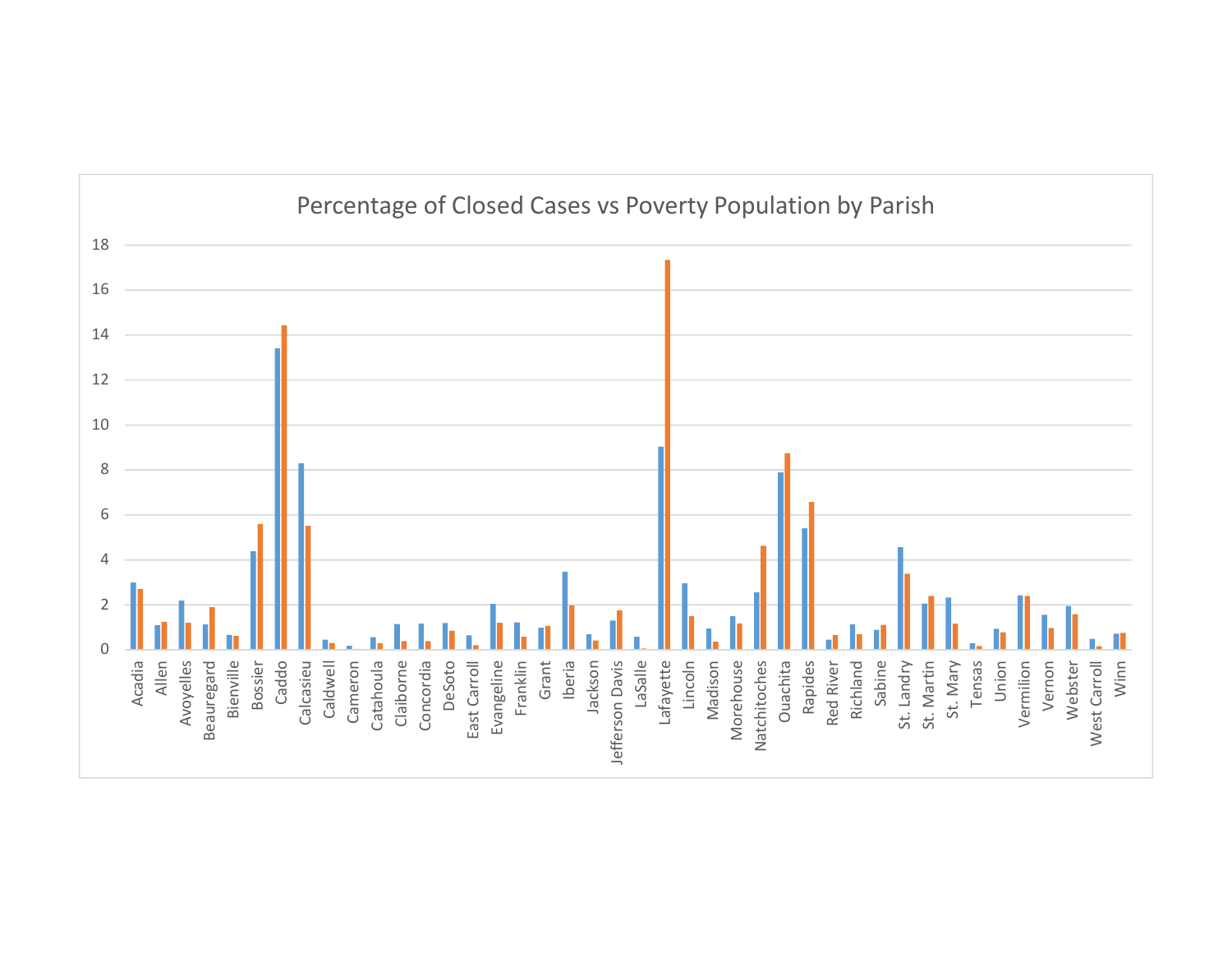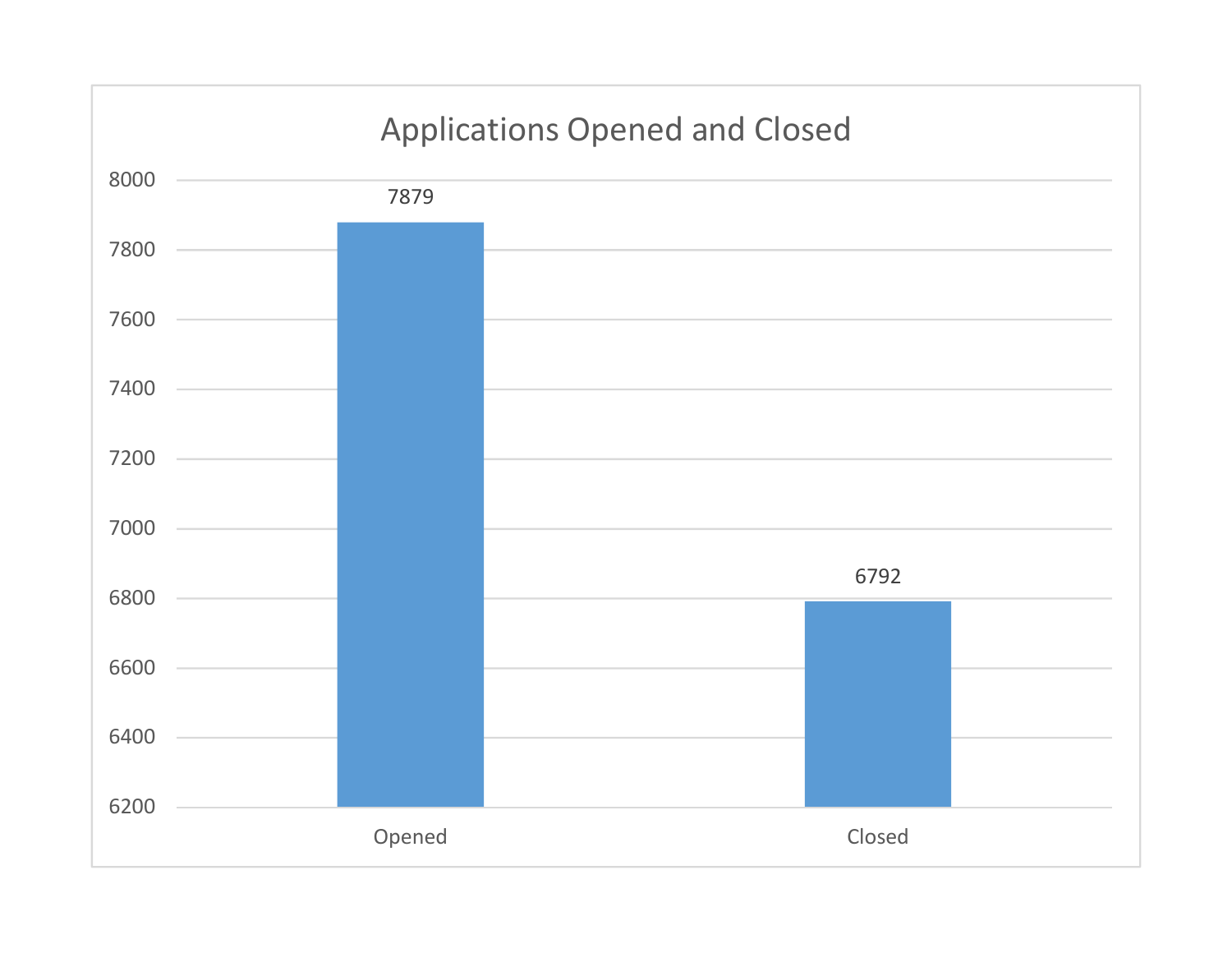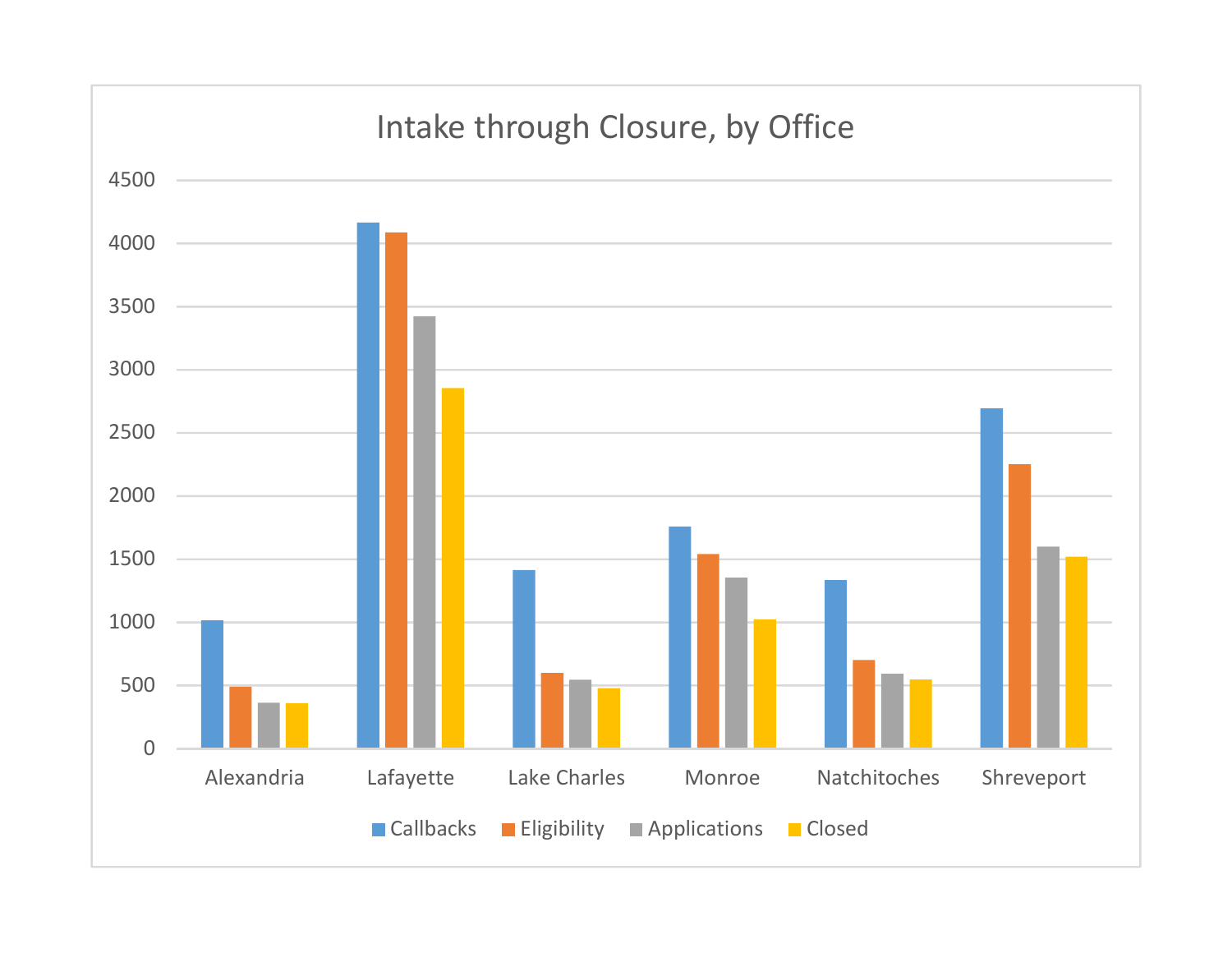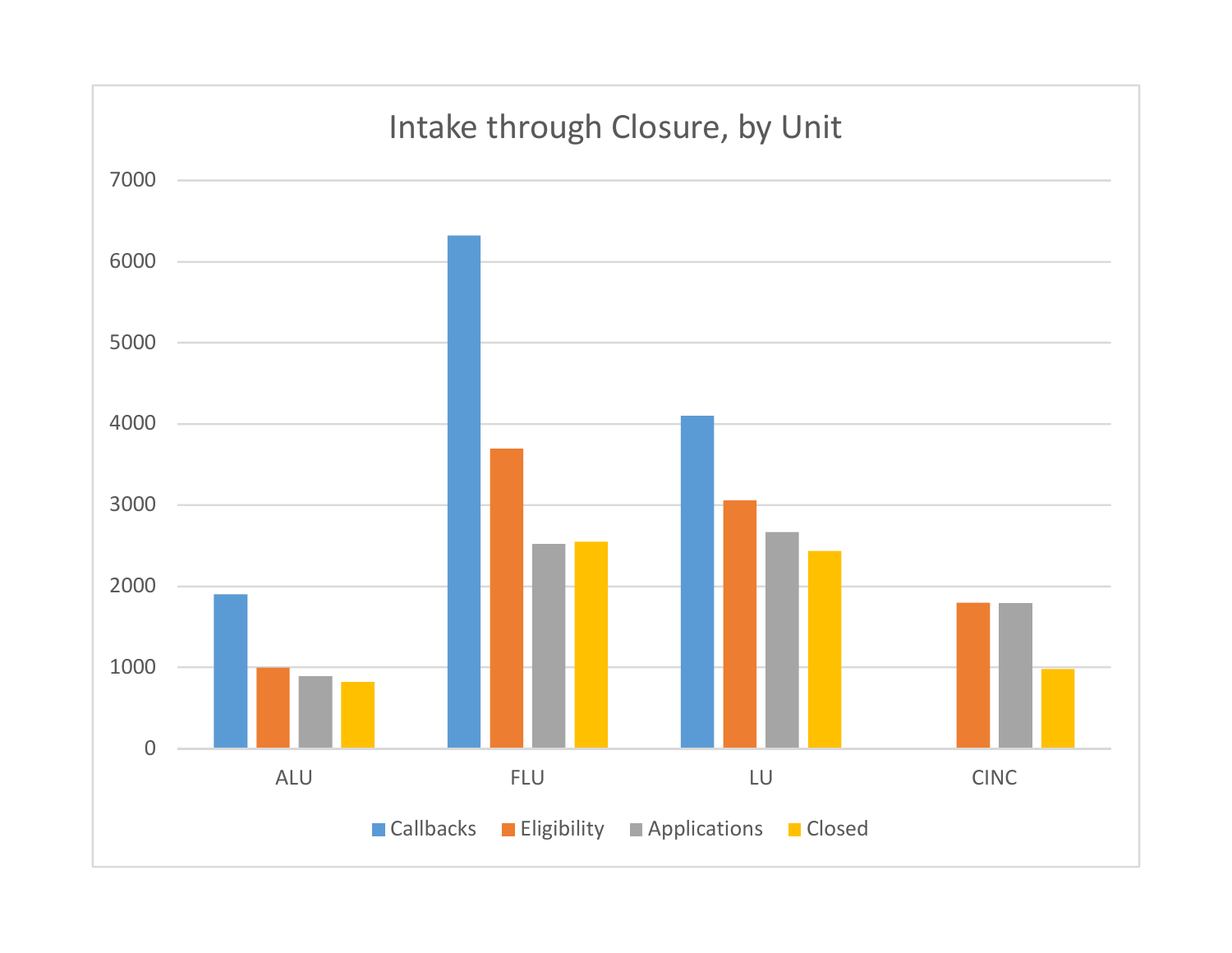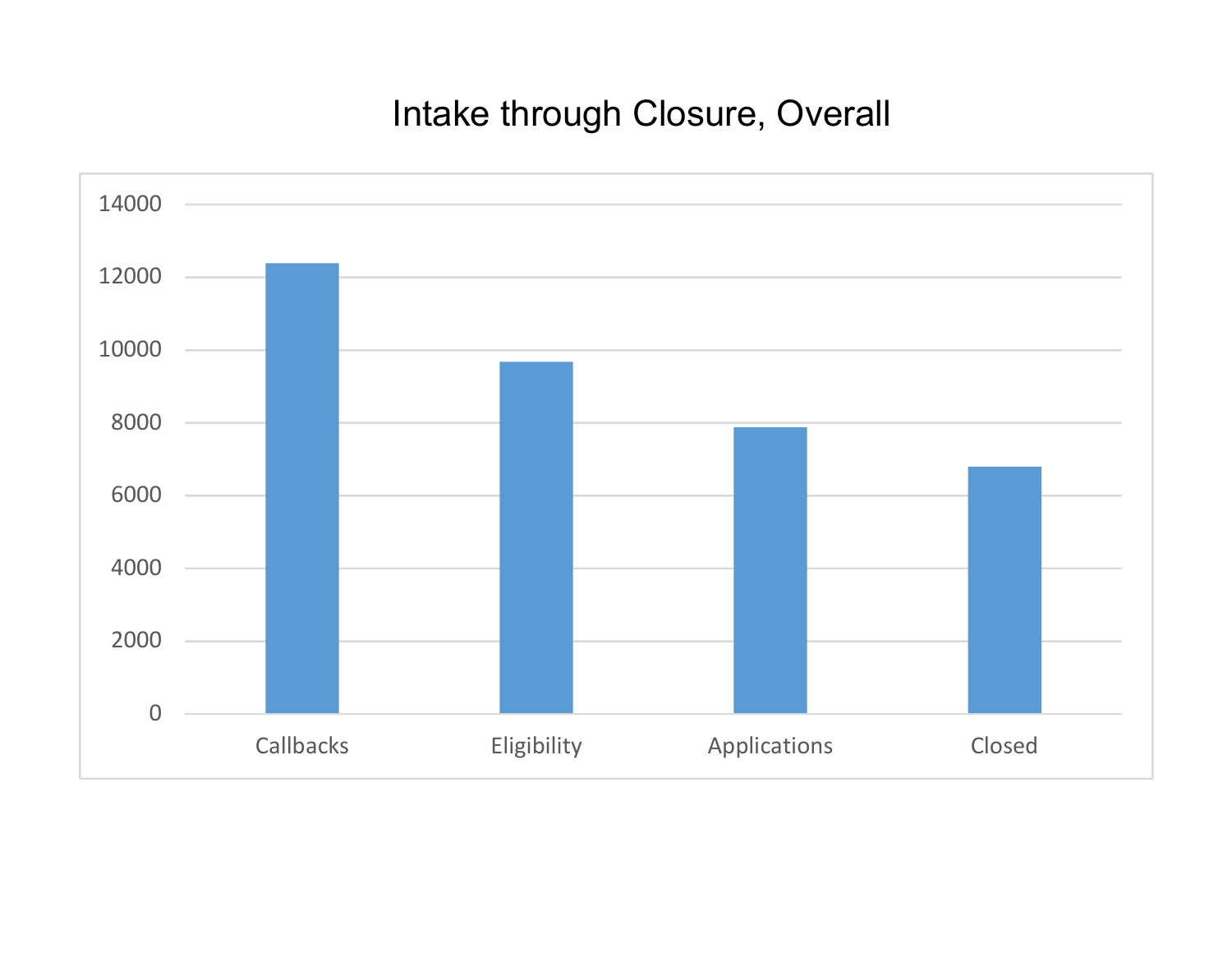## Intake through Closure, Overall